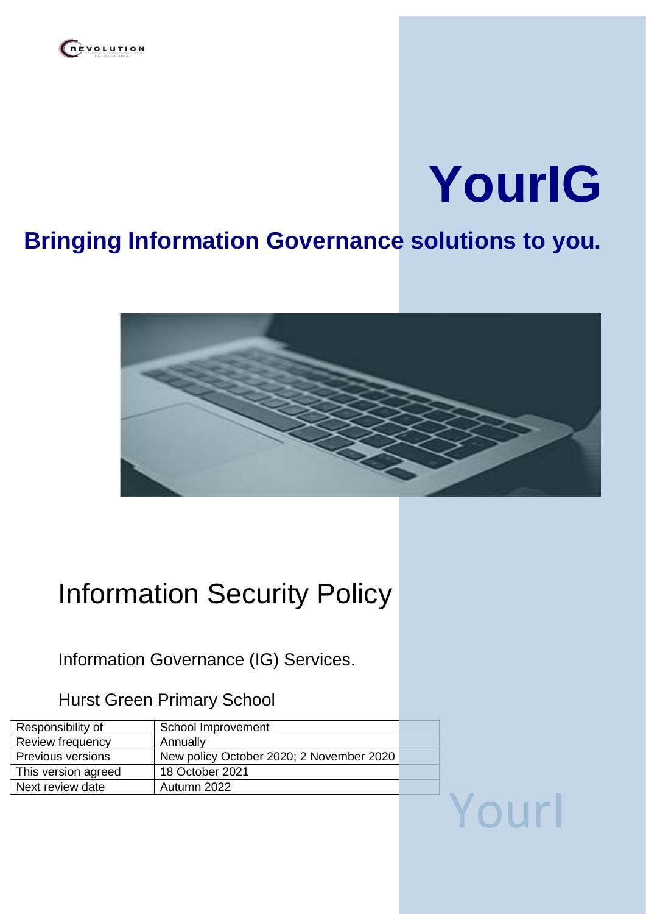

# **YourIG**

## **Bringing Information Governance solutions to you.**



# Information Security Policy

Information Governance (IG) Services.

Hurst Green Primary School

| Responsibility of   | School Improvement                       |  |
|---------------------|------------------------------------------|--|
| Review frequency    | Annually                                 |  |
| Previous versions   | New policy October 2020; 2 November 2020 |  |
| This version agreed | 18 October 2021                          |  |
| Next review date    | Autumn 2022                              |  |

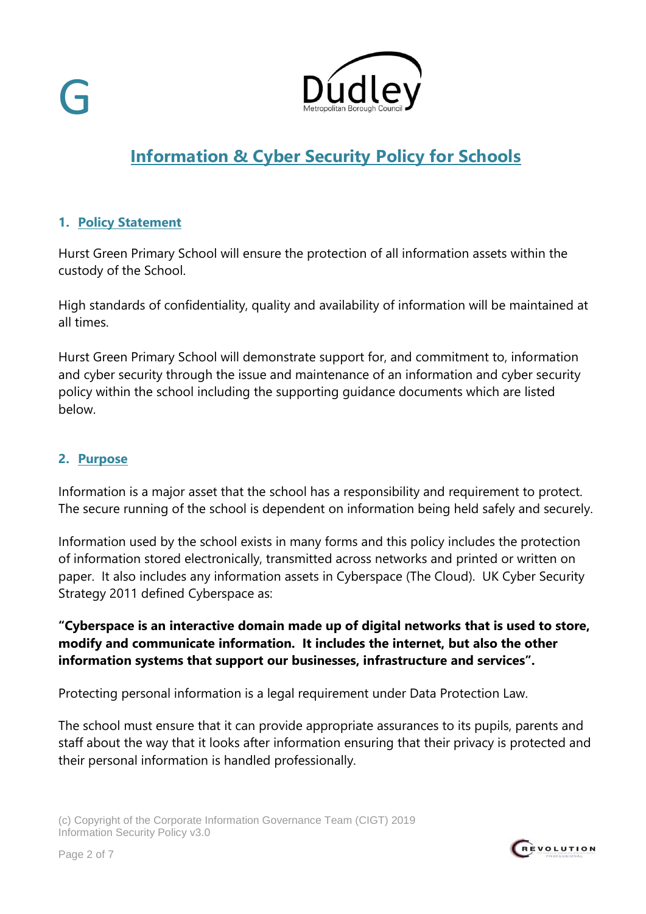



### **Information & Cyber Security Policy for Schools**

#### **1. Policy Statement**

Hurst Green Primary School will ensure the protection of all information assets within the custody of the School.

High standards of confidentiality, quality and availability of information will be maintained at all times.

Hurst Green Primary School will demonstrate support for, and commitment to, information and cyber security through the issue and maintenance of an information and cyber security policy within the school including the supporting guidance documents which are listed below.

#### **2. Purpose**

Information is a major asset that the school has a responsibility and requirement to protect. The secure running of the school is dependent on information being held safely and securely.

Information used by the school exists in many forms and this policy includes the protection of information stored electronically, transmitted across networks and printed or written on paper. It also includes any information assets in Cyberspace (The Cloud). UK Cyber Security Strategy 2011 defined Cyberspace as:

**"Cyberspace is an interactive domain made up of digital networks that is used to store, modify and communicate information. It includes the internet, but also the other information systems that support our businesses, infrastructure and services".**

Protecting personal information is a legal requirement under Data Protection Law.

The school must ensure that it can provide appropriate assurances to its pupils, parents and staff about the way that it looks after information ensuring that their privacy is protected and their personal information is handled professionally.

(c) Copyright of the Corporate Information Governance Team (CIGT) 2019 Information Security Policy v3.0

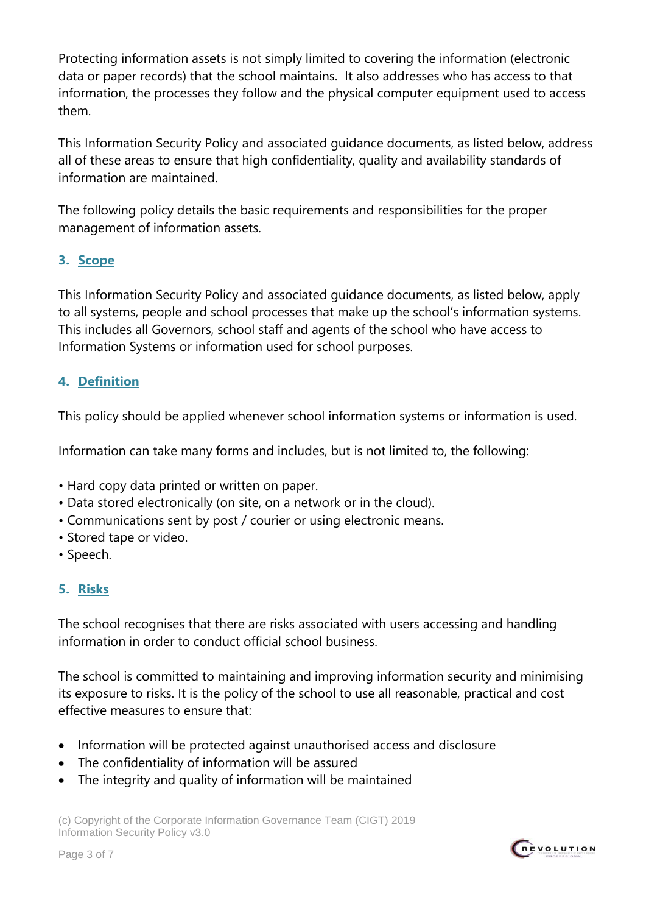Protecting information assets is not simply limited to covering the information (electronic data or paper records) that the school maintains. It also addresses who has access to that information, the processes they follow and the physical computer equipment used to access them.

This Information Security Policy and associated guidance documents, as listed below, address all of these areas to ensure that high confidentiality, quality and availability standards of information are maintained.

The following policy details the basic requirements and responsibilities for the proper management of information assets.

#### **3. Scope**

This Information Security Policy and associated guidance documents, as listed below, apply to all systems, people and school processes that make up the school's information systems. This includes all Governors, school staff and agents of the school who have access to Information Systems or information used for school purposes.

#### **4. Definition**

This policy should be applied whenever school information systems or information is used.

Information can take many forms and includes, but is not limited to, the following:

- Hard copy data printed or written on paper.
- Data stored electronically (on site, on a network or in the cloud).
- Communications sent by post / courier or using electronic means.
- Stored tape or video.
- Speech.

#### **5. Risks**

The school recognises that there are risks associated with users accessing and handling information in order to conduct official school business.

The school is committed to maintaining and improving information security and minimising its exposure to risks. It is the policy of the school to use all reasonable, practical and cost effective measures to ensure that:

- Information will be protected against unauthorised access and disclosure
- The confidentiality of information will be assured
- The integrity and quality of information will be maintained

(c) Copyright of the Corporate Information Governance Team (CIGT) 2019 Information Security Policy v3.0



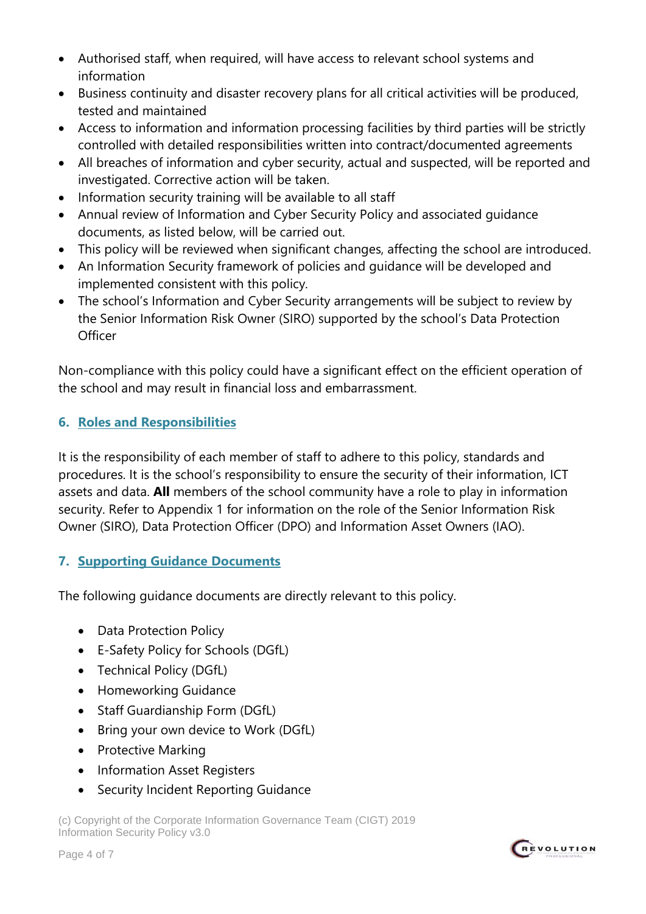- Authorised staff, when required, will have access to relevant school systems and information
- Business continuity and disaster recovery plans for all critical activities will be produced, tested and maintained
- Access to information and information processing facilities by third parties will be strictly controlled with detailed responsibilities written into contract/documented agreements
- All breaches of information and cyber security, actual and suspected, will be reported and investigated. Corrective action will be taken.
- Information security training will be available to all staff
- Annual review of Information and Cyber Security Policy and associated guidance documents, as listed below, will be carried out.
- This policy will be reviewed when significant changes, affecting the school are introduced.
- An Information Security framework of policies and guidance will be developed and implemented consistent with this policy.
- The school's Information and Cyber Security arrangements will be subject to review by the Senior Information Risk Owner (SIRO) supported by the school's Data Protection **Officer**

Non-compliance with this policy could have a significant effect on the efficient operation of the school and may result in financial loss and embarrassment.

#### **6. Roles and Responsibilities**

It is the responsibility of each member of staff to adhere to this policy, standards and procedures. It is the school's responsibility to ensure the security of their information, ICT assets and data. **All** members of the school community have a role to play in information security. Refer to Appendix 1 for information on the role of the Senior Information Risk Owner (SIRO), Data Protection Officer (DPO) and Information Asset Owners (IAO).

#### **7. Supporting Guidance Documents**

The following guidance documents are directly relevant to this policy.

- Data Protection Policy
- E-Safety Policy for Schools (DGfL)
- Technical Policy (DGfL)
- Homeworking Guidance
- Staff Guardianship Form (DGfL)
- Bring your own device to Work (DGfL)
- Protective Marking
- Information Asset Registers
- Security Incident Reporting Guidance

(c) Copyright of the Corporate Information Governance Team (CIGT) 2019 Information Security Policy v3.0

Page 4 of 7

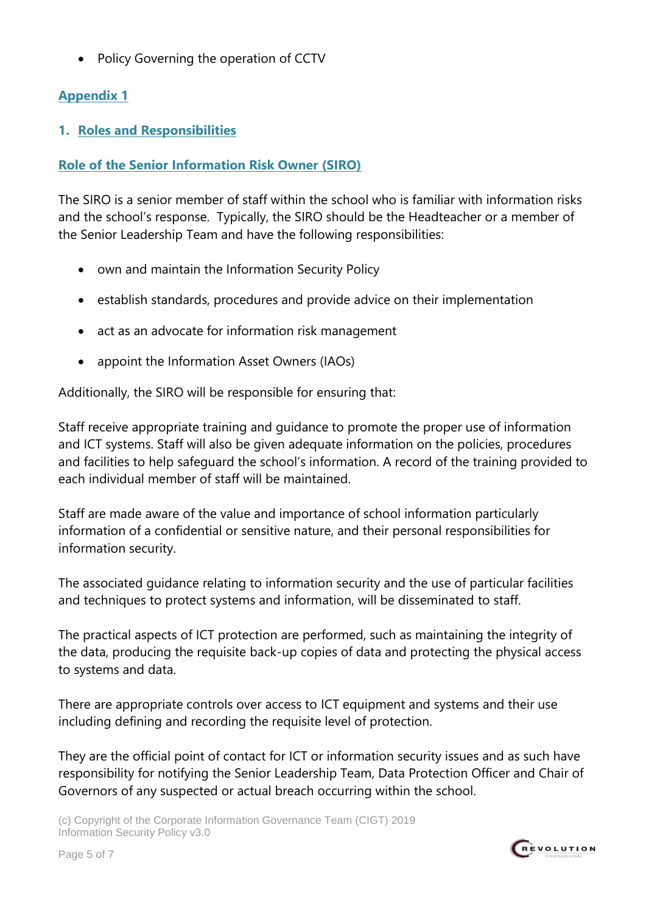• Policy Governing the operation of CCTV

#### **Appendix 1**

**1. Roles and Responsibilities**

#### **Role of the Senior Information Risk Owner (SIRO)**

The SIRO is a senior member of staff within the school who is familiar with information risks and the school's response. Typically, the SIRO should be the Headteacher or a member of the Senior Leadership Team and have the following responsibilities:

- own and maintain the Information Security Policy
- establish standards, procedures and provide advice on their implementation
- act as an advocate for information risk management
- appoint the Information Asset Owners (IAOs)

Additionally, the SIRO will be responsible for ensuring that:

Staff receive appropriate training and guidance to promote the proper use of information and ICT systems. Staff will also be given adequate information on the policies, procedures and facilities to help safeguard the school's information. A record of the training provided to each individual member of staff will be maintained.

Staff are made aware of the value and importance of school information particularly information of a confidential or sensitive nature, and their personal responsibilities for information security.

The associated guidance relating to information security and the use of particular facilities and techniques to protect systems and information, will be disseminated to staff.

The practical aspects of ICT protection are performed, such as maintaining the integrity of the data, producing the requisite back-up copies of data and protecting the physical access to systems and data.

There are appropriate controls over access to ICT equipment and systems and their use including defining and recording the requisite level of protection.

They are the official point of contact for ICT or information security issues and as such have responsibility for notifying the Senior Leadership Team, Data Protection Officer and Chair of Governors of any suspected or actual breach occurring within the school.

(c) Copyright of the Corporate Information Governance Team (CIGT) 2019 Information Security Policy v3.0

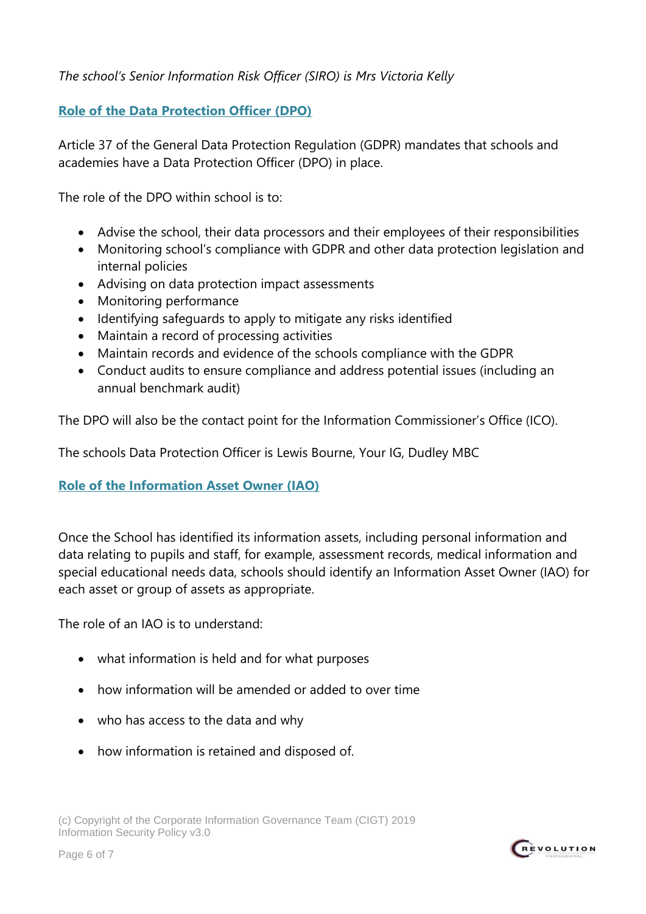#### *The school's Senior Information Risk Officer (SIRO) is Mrs Victoria Kelly*

#### **Role of the Data Protection Officer (DPO)**

Article 37 of the General Data Protection Regulation (GDPR) mandates that schools and academies have a Data Protection Officer (DPO) in place.

The role of the DPO within school is to:

- Advise the school, their data processors and their employees of their responsibilities
- Monitoring school's compliance with GDPR and other data protection legislation and internal policies
- Advising on data protection impact assessments
- Monitoring performance
- Identifying safeguards to apply to mitigate any risks identified
- Maintain a record of processing activities
- Maintain records and evidence of the schools compliance with the GDPR
- Conduct audits to ensure compliance and address potential issues (including an annual benchmark audit)

The DPO will also be the contact point for the Information Commissioner's Office (ICO).

The schools Data Protection Officer is Lewis Bourne, Your IG, Dudley MBC

#### **Role of the Information Asset Owner (IAO)**

Once the School has identified its information assets, including personal information and data relating to pupils and staff, for example, assessment records, medical information and special educational needs data, schools should identify an Information Asset Owner (IAO) for each asset or group of assets as appropriate.

The role of an IAO is to understand:

- what information is held and for what purposes
- how information will be amended or added to over time
- who has access to the data and why
- how information is retained and disposed of.